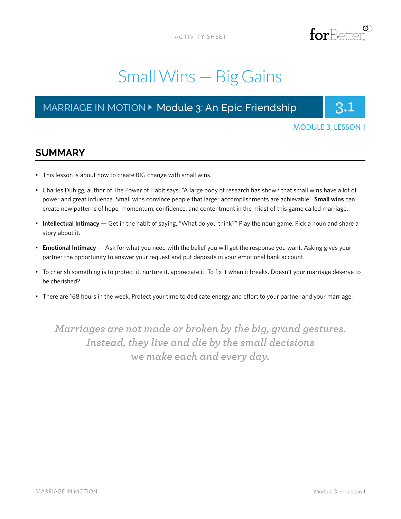# Small Wins — Big Gains

## MARRIAGE IN MOTION **• Module 3: An Epic Friendship** 3.1



MODULE 3, LESSON 1

### **SUMMARY**

- This lesson is about how to create BIG change with small wins.
- Charles Duhigg, author of The Power of Habit says, "A large body of research has shown that small wins have a lot of power and great influence. Small wins convince people that larger accomplishments are achievable." **Small wins** can create new patterns of hope, momentum, confidence, and contentment in the midst of this game called marriage.
- **Intellectual Intimacy** Get in the habit of saying, "What do you think?" Play the noun game. Pick a noun and share a story about it.
- **Emotional Intimacy** Ask for what you need with the belief you will get the response you want. Asking gives your partner the opportunity to answer your request and put deposits in your emotional bank account.
- To cherish something is to protect it, nurture it, appreciate it. To fix it when it breaks. Doesn't your marriage deserve to be cherished?
- There are 168 hours in the week. Protect your time to dedicate energy and effort to your partner and your marriage.

*Marriages are not made or broken by the big, grand gestures. Instead, they live and die by the small decisions we make each and every day.*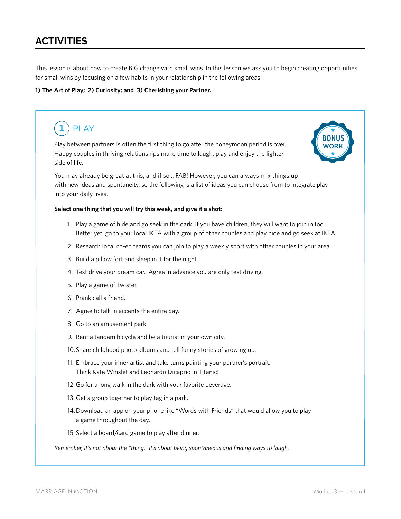### **ACTIVITIES**

This lesson is about how to create BIG change with small wins. In this lesson we ask you to begin creating opportunities for small wins by focusing on a few habits in your relationship in the following areas:

#### **1) The Art of Play; 2) Curiosity; and 3) Cherishing your Partner.**

#### PLAY **1**

Play between partners is often the first thing to go after the honeymoon period is over. Happy couples in thriving relationships make time to laugh, play and enjoy the lighter side of life.



You may already be great at this, and if so... FAB! However, you can always mix things up with new ideas and spontaneity, so the following is a list of ideas you can choose from to integrate play into your daily lives.

#### **Select one thing that you will try this week, and give it a shot:**

- 1. Play a game of hide and go seek in the dark. If you have children, they will want to join in too. Better yet, go to your local IKEA with a group of other couples and play hide and go seek at IKEA.
- 2. Research local co-ed teams you can join to play a weekly sport with other couples in your area.
- 3. Build a pillow fort and sleep in it for the night.
- 4. Test drive your dream car. Agree in advance you are only test driving.
- 5. Play a game of Twister.
- 6. Prank call a friend.
- 7. Agree to talk in accents the entire day.
- 8. Go to an amusement park.
- 9. Rent a tandem bicycle and be a tourist in your own city.
- 10. Share childhood photo albums and tell funny stories of growing up.
- 11. Embrace your inner artist and take turns painting your partner's portrait. Think Kate Winslet and Leonardo Dicaprio in Titanic!
- 12. Go for a long walk in the dark with your favorite beverage.
- 13. Get a group together to play tag in a park.
- 14.Download an app on your phone like "Words with Friends" that would allow you to play a game throughout the day.
- 15. Select a board/card game to play after dinner.

*Remember, it's not about the "thing," it's about being spontaneous and finding ways to laugh.*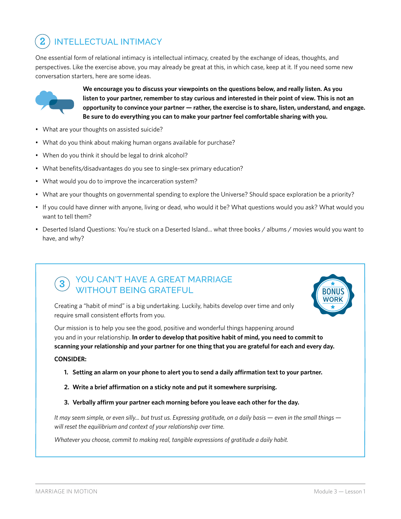# **2** INTELLECTUAL INTIMACY

One essential form of relational intimacy is intellectual intimacy, created by the exchange of ideas, thoughts, and perspectives. Like the exercise above, you may already be great at this, in which case, keep at it. If you need some new conversation starters, here are some ideas.



**We encourage you to discuss your viewpoints on the questions below, and really listen. As you listen to your partner, remember to stay curious and interested in their point of view. This is not an opportunity to convince your partner — rather, the exercise is to share, listen, understand, and engage. Be sure to do everything you can to make your partner feel comfortable sharing with you.**

- What are your thoughts on assisted suicide?
- What do you think about making human organs available for purchase?
- When do you think it should be legal to drink alcohol?
- What benefits/disadvantages do you see to single-sex primary education?
- What would you do to improve the incarceration system?
- What are your thoughts on governmental spending to explore the Universe? Should space exploration be a priority?
- If you could have dinner with anyone, living or dead, who would it be? What questions would you ask? What would you want to tell them?
- Deserted Island Questions: You're stuck on a Deserted Island... what three books / albums / movies would you want to have, and why?

#### YOU CAN'T HAVE A GREAT MARRIAGE WITHOUT BEING GRATEFUL **3**

Creating a "habit of mind" is a big undertaking. Luckily, habits develop over time and only require small consistent efforts from you.

Our mission is to help you see the good, positive and wonderful things happening around you and in your relationship. **In order to develop that positive habit of mind, you need to commit to scanning your relationship and your partner for one thing that you are grateful for each and every day.**

#### **CONSIDER:**

- **1. Setting an alarm on your phone to alert you to send a daily affirmation text to your partner.**
- **2. Write a brief affirmation on a sticky note and put it somewhere surprising.**
- **3. Verbally affirm your partner each morning before you leave each other for the day.**

*It may seem simple, or even silly... but trust us. Expressing gratitude, on a daily basis — even in the small things will reset the equilibrium and context of your relationship over time.*

*Whatever you choose, commit to making real, tangible expressions of gratitude a daily habit.*

**BONUS WORK**